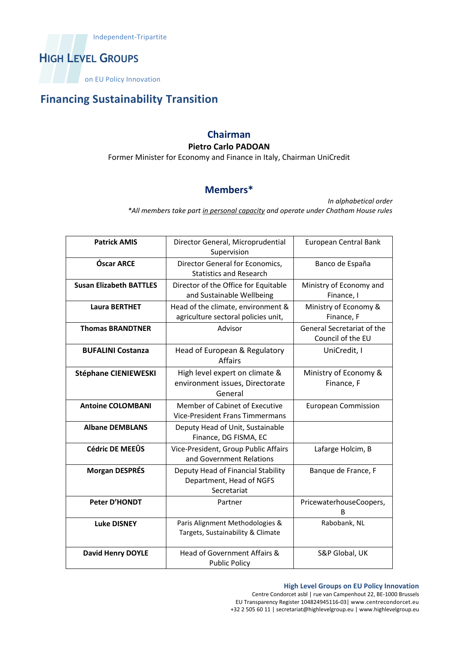

on EU Policy Innovation

## **Financing Sustainability Transition**

## **Chairman**

#### **Pietro Carlo PADOAN**

Former Minister for Economy and Finance in Italy, Chairman UniCredit

### **Members\***

*In alphabetical order \*All members take part in personal capacity and operate under Chatham House rules*

| <b>Patrick AMIS</b>            | Director General, Microprudential<br>Supervision                              | European Central Bank                           |
|--------------------------------|-------------------------------------------------------------------------------|-------------------------------------------------|
| Óscar ARCE                     | Director General for Economics,<br><b>Statistics and Research</b>             | Banco de España                                 |
| <b>Susan Elizabeth BATTLES</b> | Director of the Office for Equitable<br>and Sustainable Wellbeing             | Ministry of Economy and<br>Finance, I           |
| <b>Laura BERTHET</b>           | Head of the climate, environment &<br>agriculture sectoral policies unit,     | Ministry of Economy &<br>Finance, F             |
| <b>Thomas BRANDTNER</b>        | Advisor                                                                       | General Secretariat of the<br>Council of the EU |
| <b>BUFALINI Costanza</b>       | Head of European & Regulatory<br><b>Affairs</b>                               | UniCredit, I                                    |
| <b>Stéphane CIENIEWESKI</b>    | High level expert on climate &<br>environment issues, Directorate<br>General  | Ministry of Economy &<br>Finance, F             |
| <b>Antoine COLOMBANI</b>       | Member of Cabinet of Executive<br><b>Vice-President Frans Timmermans</b>      | <b>European Commission</b>                      |
| <b>Albane DEMBLANS</b>         | Deputy Head of Unit, Sustainable<br>Finance, DG FISMA, EC                     |                                                 |
| <b>Cédric DE MEEÛS</b>         | Vice-President, Group Public Affairs<br>and Government Relations              | Lafarge Holcim, B                               |
| <b>Morgan DESPRÉS</b>          | Deputy Head of Financial Stability<br>Department, Head of NGFS<br>Secretariat | Banque de France, F                             |
| Peter D'HONDT                  | Partner                                                                       | PricewaterhouseCoopers,<br>В                    |
| <b>Luke DISNEY</b>             | Paris Alignment Methodologies &<br>Targets, Sustainability & Climate          | Rabobank, NL                                    |
| <b>David Henry DOYLE</b>       | Head of Government Affairs &<br><b>Public Policy</b>                          | S&P Global, UK                                  |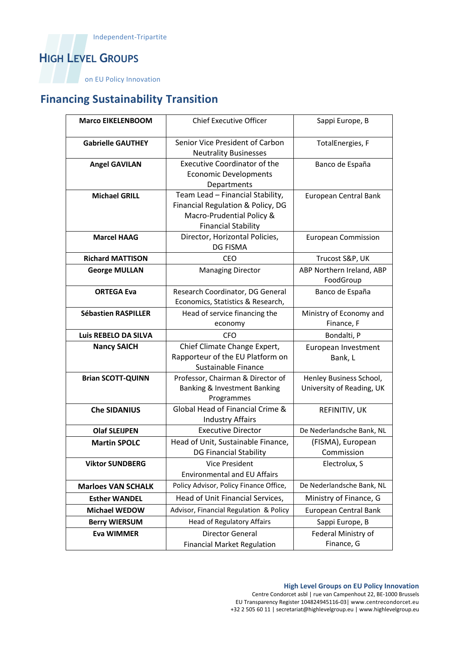# **HIGH LEVEL GROUPS**

on EU Policy Innovation

# **Financing Sustainability Transition**

| <b>Marco EIKELENBOOM</b>   | <b>Chief Executive Officer</b>         | Sappi Europe, B                   |
|----------------------------|----------------------------------------|-----------------------------------|
|                            |                                        |                                   |
| <b>Gabrielle GAUTHEY</b>   | Senior Vice President of Carbon        | TotalEnergies, F                  |
|                            | <b>Neutrality Businesses</b>           |                                   |
| <b>Angel GAVILAN</b>       | <b>Executive Coordinator of the</b>    | Banco de España                   |
|                            | <b>Economic Developments</b>           |                                   |
|                            | Departments                            |                                   |
| <b>Michael GRILL</b>       | Team Lead - Financial Stability,       | European Central Bank             |
|                            | Financial Regulation & Policy, DG      |                                   |
|                            | Macro-Prudential Policy &              |                                   |
|                            | <b>Financial Stability</b>             |                                   |
| <b>Marcel HAAG</b>         | Director, Horizontal Policies,         | <b>European Commission</b>        |
|                            | <b>DG FISMA</b>                        |                                   |
| <b>Richard MATTISON</b>    | <b>CEO</b>                             | Trucost S&P, UK                   |
| <b>George MULLAN</b>       | <b>Managing Director</b>               | ABP Northern Ireland, ABP         |
|                            |                                        | FoodGroup                         |
| <b>ORTEGA Eva</b>          | Research Coordinator, DG General       | Banco de España                   |
|                            | Economics, Statistics & Research,      |                                   |
| <b>Sébastien RASPILLER</b> | Head of service financing the          | Ministry of Economy and           |
|                            | economy                                | Finance, F                        |
| Luis REBELO DA SILVA       | CFO                                    | Bondalti, P                       |
| <b>Nancy SAICH</b>         | Chief Climate Change Expert,           | European Investment               |
|                            |                                        |                                   |
|                            | Rapporteur of the EU Platform on       | Bank, L                           |
|                            | Sustainable Finance                    |                                   |
| <b>Brian SCOTT-QUINN</b>   | Professor, Chairman & Director of      | Henley Business School,           |
|                            | Banking & Investment Banking           | University of Reading, UK         |
|                            | Programmes                             |                                   |
| <b>Che SIDANIUS</b>        | Global Head of Financial Crime &       | REFINITIV, UK                     |
|                            | <b>Industry Affairs</b>                |                                   |
| <b>Olaf SLEIJPEN</b>       | <b>Executive Director</b>              | De Nederlandsche Bank, NL         |
| <b>Martin SPOLC</b>        | Head of Unit, Sustainable Finance,     | (FISMA), European                 |
|                            | <b>DG Financial Stability</b>          | Commission                        |
| <b>Viktor SUNDBERG</b>     | <b>Vice President</b>                  | Electrolux, S                     |
|                            | <b>Environmental and EU Affairs</b>    |                                   |
| <b>Marloes VAN SCHALK</b>  | Policy Advisor, Policy Finance Office, | De Nederlandsche Bank, NL         |
| <b>Esther WANDEL</b>       | Head of Unit Financial Services,       | Ministry of Finance, G            |
| <b>Michael WEDOW</b>       | Advisor, Financial Regulation & Policy | European Central Bank             |
| <b>Berry WIERSUM</b>       | <b>Head of Regulatory Affairs</b>      | Sappi Europe, B                   |
| <b>Eva WIMMER</b>          | Director General                       | Federal Ministry of<br>Finance, G |